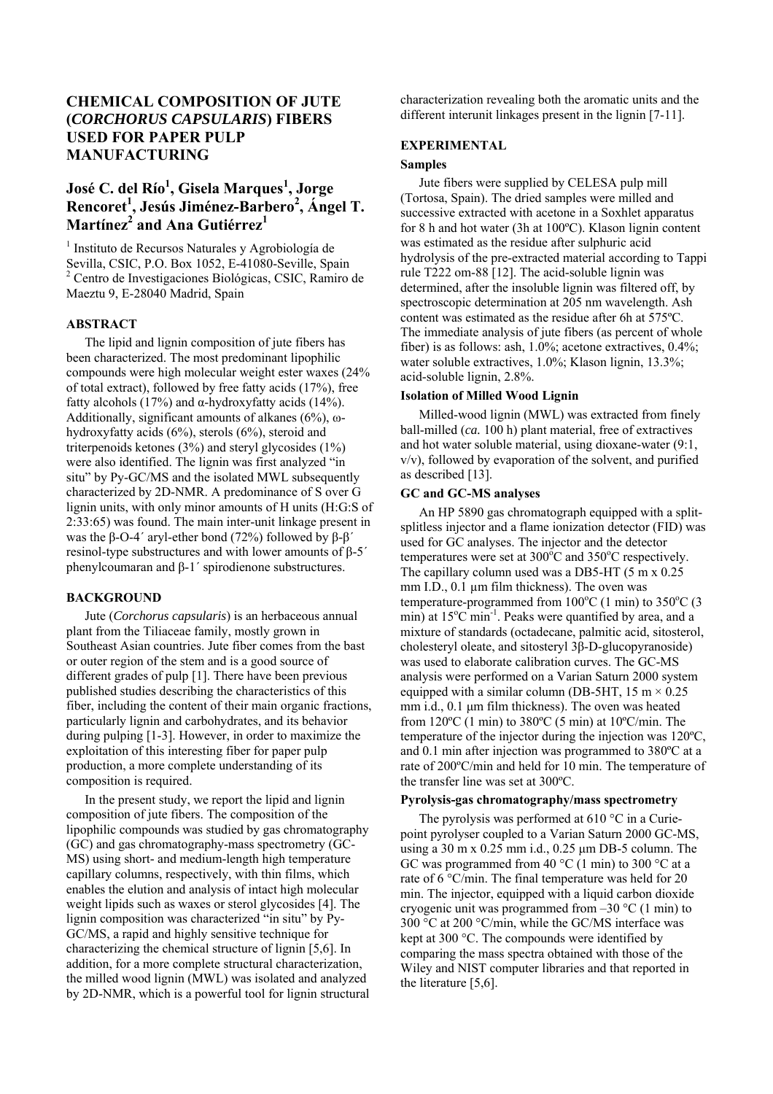# **CHEMICAL COMPOSITION OF JUTE (***CORCHORUS CAPSULARIS***) FIBERS USED FOR PAPER PULP MANUFACTURING**

# $\rm{Jos\'e~C.}$  del  $\rm{R\'io}^1$ , Gisela Marques<sup>1</sup>, Jorge **Rencoret<sup>1</sup> , Jesús Jiménez-Barbero2 , Ángel T.**   $\mathbf{Martínez}^2$  and Ana Gutiérrez<sup>1</sup>

1 Instituto de Recursos Naturales y Agrobiología de Sevilla, CSIC, P.O. Box 1052, E-41080-Seville, Spain 2 Centro de Investigaciones Biológicas, CSIC, Ramiro de Maeztu 9, E-28040 Madrid, Spain

## **ABSTRACT**

The lipid and lignin composition of jute fibers has been characterized. The most predominant lipophilic compounds were high molecular weight ester waxes (24% of total extract), followed by free fatty acids (17%), free fatty alcohols (17%) and α-hydroxyfatty acids (14%). Additionally, significant amounts of alkanes ( $6\%$ ), ωhydroxyfatty acids (6%), sterols (6%), steroid and triterpenoids ketones (3%) and steryl glycosides (1%) were also identified. The lignin was first analyzed "in situ" by Py-GC/MS and the isolated MWL subsequently characterized by 2D-NMR. A predominance of S over G lignin units, with only minor amounts of H units (H:G:S of 2:33:65) was found. The main inter-unit linkage present in was the β-O-4<sup> $\prime$ </sup> aryl-ether bond (72%) followed by β-β<sup> $\prime$ </sup> resinol-type substructures and with lower amounts of β-5´ phenylcoumaran and β-1´ spirodienone substructures.

## **BACKGROUND**

Jute (*Corchorus capsularis*) is an herbaceous annual plant from the Tiliaceae family, mostly grown in Southeast Asian countries. Jute fiber comes from the bast or outer region of the stem and is a good source of different grades of pulp [1]. There have been previous published studies describing the characteristics of this fiber, including the content of their main organic fractions, particularly lignin and carbohydrates, and its behavior during pulping [1-3]. However, in order to maximize the exploitation of this interesting fiber for paper pulp production, a more complete understanding of its composition is required.

In the present study, we report the lipid and lignin composition of jute fibers. The composition of the lipophilic compounds was studied by gas chromatography (GC) and gas chromatography-mass spectrometry (GC-MS) using short- and medium-length high temperature capillary columns, respectively, with thin films, which enables the elution and analysis of intact high molecular weight lipids such as waxes or sterol glycosides [4]. The lignin composition was characterized "in situ" by Py-GC/MS, a rapid and highly sensitive technique for characterizing the chemical structure of lignin [5,6]. In addition, for a more complete structural characterization, the milled wood lignin (MWL) was isolated and analyzed by 2D-NMR, which is a powerful tool for lignin structural characterization revealing both the aromatic units and the different interunit linkages present in the lignin [7-11].

# **EXPERIMENTAL**

## **Samples**

Jute fibers were supplied by CELESA pulp mill (Tortosa, Spain). The dried samples were milled and successive extracted with acetone in a Soxhlet apparatus for 8 h and hot water (3h at 100ºC). Klason lignin content was estimated as the residue after sulphuric acid hydrolysis of the pre-extracted material according to Tappi rule T222 om-88 [12]. The acid-soluble lignin was determined, after the insoluble lignin was filtered off, by spectroscopic determination at 205 nm wavelength. Ash content was estimated as the residue after 6h at 575ºC. The immediate analysis of jute fibers (as percent of whole fiber) is as follows: ash, 1.0%; acetone extractives, 0.4%; water soluble extractives, 1.0%; Klason lignin, 13.3%; acid-soluble lignin, 2.8%.

## **Isolation of Milled Wood Lignin**

Milled-wood lignin (MWL) was extracted from finely ball-milled (*ca.* 100 h) plant material, free of extractives and hot water soluble material, using dioxane-water (9:1, v/v), followed by evaporation of the solvent, and purified as described [13].

# **GC and GC-MS analyses**

An HP 5890 gas chromatograph equipped with a splitsplitless injector and a flame ionization detector (FID) was used for GC analyses. The injector and the detector temperatures were set at  $300^{\circ}$ C and  $350^{\circ}$ C respectively. The capillary column used was a DB5-HT (5 m x 0.25 mm I.D., 0.1 µm film thickness). The oven was temperature-programmed from  $100^{\circ}$ C (1 min) to  $350^{\circ}$ C (3  $\min$ ) at 15°C min<sup>-1</sup>. Peaks were quantified by area, and a mixture of standards (octadecane, palmitic acid, sitosterol, cholesteryl oleate, and sitosteryl 3β-D-glucopyranoside) was used to elaborate calibration curves. The GC-MS analysis were performed on a Varian Saturn 2000 system equipped with a similar column (DB-5HT,  $15 \text{ m} \times 0.25$ ) mm i.d., 0.1 μm film thickness). The oven was heated from  $120^{\circ}$ C (1 min) to  $380^{\circ}$ C (5 min) at  $10^{\circ}$ C/min. The temperature of the injector during the injection was 120ºC, and 0.1 min after injection was programmed to 380ºC at a rate of 200ºC/min and held for 10 min. The temperature of the transfer line was set at 300ºC.

## **Pyrolysis-gas chromatography/mass spectrometry**

The pyrolysis was performed at  $610^{\circ}$ C in a Curiepoint pyrolyser coupled to a Varian Saturn 2000 GC-MS, using a 30 m x 0.25 mm i.d., 0.25 µm DB-5 column. The GC was programmed from 40  $^{\circ}$ C (1 min) to 300  $^{\circ}$ C at a rate of 6 °C/min. The final temperature was held for 20 min. The injector, equipped with a liquid carbon dioxide cryogenic unit was programmed from  $-30$  °C (1 min) to 300 °C at 200 °C/min, while the GC/MS interface was kept at 300 °C. The compounds were identified by comparing the mass spectra obtained with those of the Wiley and NIST computer libraries and that reported in the literature [5,6].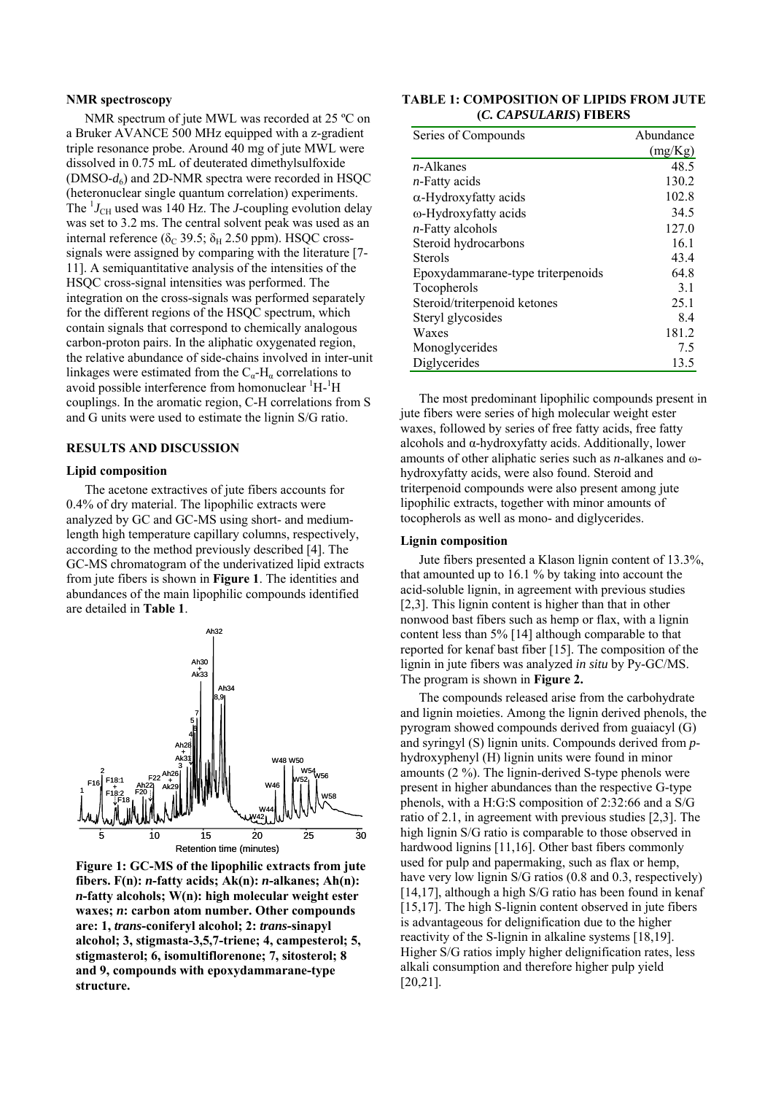#### **NMR spectroscopy**

NMR spectrum of jute MWL was recorded at 25 ºC on a Bruker AVANCE 500 MHz equipped with a z-gradient triple resonance probe. Around 40 mg of jute MWL were dissolved in 0.75 mL of deuterated dimethylsulfoxide (DMSO- $d_6$ ) and 2D-NMR spectra were recorded in HSQC (heteronuclear single quantum correlation) experiments. The  $^{1}J_{\text{CH}}$  used was 140 Hz. The *J*-coupling evolution delay was set to 3.2 ms. The central solvent peak was used as an internal reference ( $\delta_C$  39.5;  $\delta_H$  2.50 ppm). HSQC crosssignals were assigned by comparing with the literature [7- 11]. A semiquantitative analysis of the intensities of the HSQC cross-signal intensities was performed. The integration on the cross-signals was performed separately for the different regions of the HSQC spectrum, which contain signals that correspond to chemically analogous carbon-proton pairs. In the aliphatic oxygenated region, the relative abundance of side-chains involved in inter-unit linkages were estimated from the  $C_{\alpha}$ -H<sub> $\alpha$ </sub> correlations to avoid possible interference from homonuclear  ${}^{1}H - {}^{1}H$ couplings. In the aromatic region, C-H correlations from S and G units were used to estimate the lignin S/G ratio.

## **RESULTS AND DISCUSSION**

### **Lipid composition**

The acetone extractives of jute fibers accounts for 0.4% of dry material. The lipophilic extracts were analyzed by GC and GC-MS using short- and mediumlength high temperature capillary columns, respectively, according to the method previously described [4]. The GC-MS chromatogram of the underivatized lipid extracts from jute fibers is shown in **Figure 1**. The identities and abundances of the main lipophilic compounds identified are detailed in **Table 1**.



**Figure 1: GC-MS of the lipophilic extracts from jute fibers. F(n):** *n***-fatty acids; Ak(n):** *n***-alkanes; Ah(n):**  *n***-fatty alcohols; W(n): high molecular weight ester waxes;** *n***: carbon atom number. Other compounds are: 1,** *trans***-coniferyl alcohol; 2:** *trans***-sinapyl alcohol; 3, stigmasta-3,5,7-triene; 4, campesterol; 5, stigmasterol; 6, isomultiflorenone; 7, sitosterol; 8 and 9, compounds with epoxydammarane-type structure.** 

| TABLE 1: COMPOSITION OF LIPIDS FROM JUTE |  |
|------------------------------------------|--|
| (C. CAPSULARIS) FIBERS                   |  |

| Series of Compounds               | Abundance |
|-----------------------------------|-----------|
|                                   | (mg/Kg)   |
| $n$ -Alkanes                      | 48.5      |
| $n$ -Fatty acids                  | 130.2     |
| $\alpha$ -Hydroxyfatty acids      | 102.8     |
| ω-Hydroxyfatty acids              | 34.5      |
| <i>n</i> -Fatty alcohols          | 127.0     |
| Steroid hydrocarbons              | 16.1      |
| <b>Sterols</b>                    | 43.4      |
| Epoxydammarane-type triterpenoids | 64.8      |
| Tocopherols                       | 3.1       |
| Steroid/triterpenoid ketones      | 25.1      |
| Steryl glycosides                 | 8.4       |
| Waxes                             | 181.2     |
| Monoglycerides                    | 7.5       |
| Diglycerides                      | 13.5      |
|                                   |           |

The most predominant lipophilic compounds present in jute fibers were series of high molecular weight ester waxes, followed by series of free fatty acids, free fatty alcohols and α-hydroxyfatty acids. Additionally, lower amounts of other aliphatic series such as *n*-alkanes and ωhydroxyfatty acids, were also found. Steroid and triterpenoid compounds were also present among jute lipophilic extracts, together with minor amounts of tocopherols as well as mono- and diglycerides.

#### **Lignin composition**

Jute fibers presented a Klason lignin content of 13.3%, that amounted up to 16.1 % by taking into account the acid-soluble lignin, in agreement with previous studies [2,3]. This lignin content is higher than that in other nonwood bast fibers such as hemp or flax, with a lignin content less than 5% [14] although comparable to that reported for kenaf bast fiber [15]. The composition of the lignin in jute fibers was analyzed *in situ* by Py-GC/MS. The program is shown in **Figure 2.** 

The compounds released arise from the carbohydrate and lignin moieties. Among the lignin derived phenols, the pyrogram showed compounds derived from guaiacyl (G) and syringyl (S) lignin units. Compounds derived from *p*hydroxyphenyl (H) lignin units were found in minor amounts (2 %). The lignin-derived S-type phenols were present in higher abundances than the respective G-type phenols, with a H:G:S composition of 2:32:66 and a S/G ratio of 2.1, in agreement with previous studies [2,3]. The high lignin S/G ratio is comparable to those observed in hardwood lignins [11,16]. Other bast fibers commonly used for pulp and papermaking, such as flax or hemp, have very low lignin S/G ratios (0.8 and 0.3, respectively) [14,17], although a high S/G ratio has been found in kenaf [15,17]. The high S-lignin content observed in jute fibers is advantageous for delignification due to the higher reactivity of the S-lignin in alkaline systems [18,19]. Higher S/G ratios imply higher delignification rates, less alkali consumption and therefore higher pulp yield [20,21].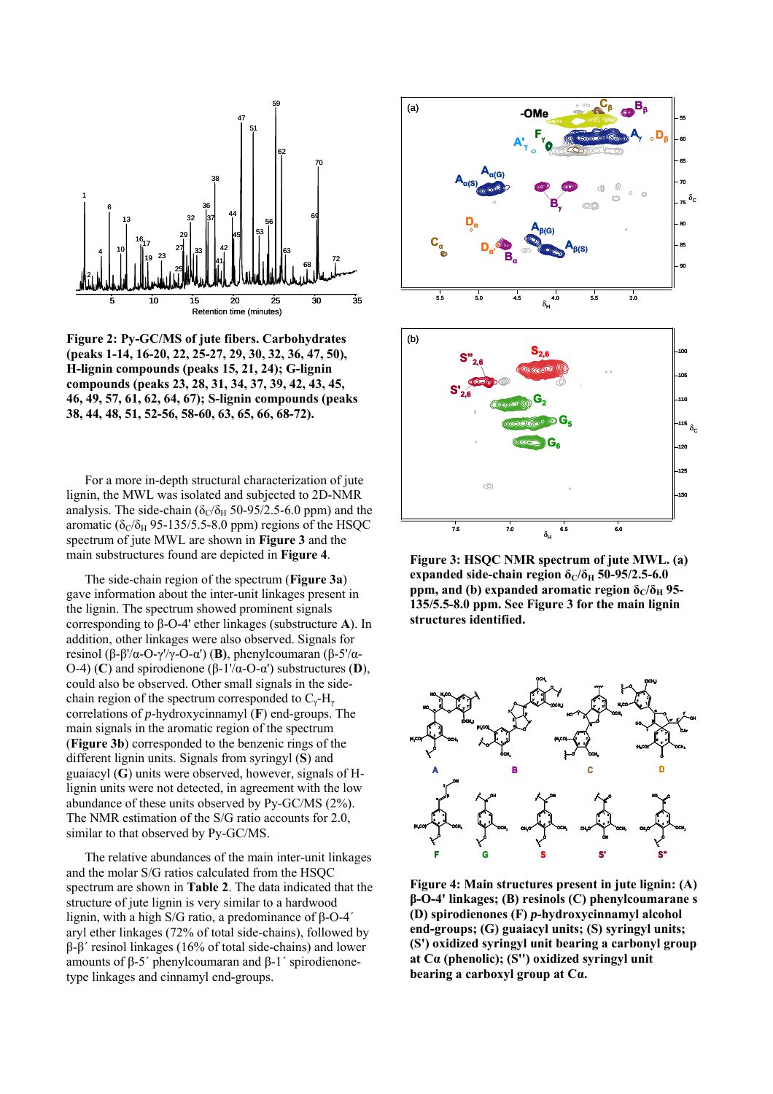

**Figure 2: Py-GC/MS of jute fibers. Carbohydrates (peaks 1-14, 16-20, 22, 25-27, 29, 30, 32, 36, 47, 50), H-lignin compounds (peaks 15, 21, 24); G-lignin compounds (peaks 23, 28, 31, 34, 37, 39, 42, 43, 45, 46, 49, 57, 61, 62, 64, 67); S-lignin compounds (peaks 38, 44, 48, 51, 52-56, 58-60, 63, 65, 66, 68-72).** 

For a more in-depth structural characterization of jute lignin, the MWL was isolated and subjected to 2D-NMR analysis. The side-chain ( $\delta$ <sub>C</sub>/ $\delta$ <sub>H</sub> 50-95/2.5-6.0 ppm) and the aromatic ( $\delta_C/\delta_H$  95-135/5.5-8.0 ppm) regions of the HSQC spectrum of jute MWL are shown in **Figure 3** and the main substructures found are depicted in **Figure 4**.

The side-chain region of the spectrum (**Figure 3a**) gave information about the inter-unit linkages present in the lignin. The spectrum showed prominent signals corresponding to β-O-4' ether linkages (substructure **A**). In addition, other linkages were also observed. Signals for resinol (β-β'/α-O-γ'/γ-O-α') (**B)**, phenylcoumaran (β-5'/α-O-4) (**C**) and spirodienone (β-1'/α-O-α') substructures (**D**), could also be observed. Other small signals in the sidechain region of the spectrum corresponded to  $C_\gamma$ -H<sub>γ</sub> correlations of *p*-hydroxycinnamyl (**F**) end-groups. The main signals in the aromatic region of the spectrum (**Figure 3b**) corresponded to the benzenic rings of the different lignin units. Signals from syringyl (**S**) and guaiacyl (**G**) units were observed, however, signals of Hlignin units were not detected, in agreement with the low abundance of these units observed by Py-GC/MS (2%). The NMR estimation of the S/G ratio accounts for 2.0, similar to that observed by Py-GC/MS.

The relative abundances of the main inter-unit linkages and the molar S/G ratios calculated from the HSQC spectrum are shown in **Table 2**. The data indicated that the structure of jute lignin is very similar to a hardwood lignin, with a high S/G ratio, a predominance of β-O-4´ aryl ether linkages (72% of total side-chains), followed by β-β´ resinol linkages (16% of total side-chains) and lower amounts of β-5´ phenylcoumaran and β-1´ spirodienonetype linkages and cinnamyl end-groups.



**Figure 3: HSQC NMR spectrum of jute MWL. (a)**  expanded side-chain region  $\delta$ <sup>*C*</sup> $\delta$ <sup>H</sup> 50-95/2.5-6.0 **ppm, and (b) expanded aromatic region**  $\delta$ **<sup>***C***</sup>** $/\delta$ **<sup>H</sup> 95-135/5.5-8.0 ppm. See Figure 3 for the main lignin structures identified.** 



**Figure 4: Main structures present in jute lignin: (A) β-O-4' linkages; (B) resinols (C) phenylcoumarane s (D) spirodienones (F)** *p***-hydroxycinnamyl alcohol end-groups; (G) guaiacyl units; (S) syringyl units; (S') oxidized syringyl unit bearing a carbonyl group at Cα (phenolic); (S'') oxidized syringyl unit bearing a carboxyl group at Cα.**